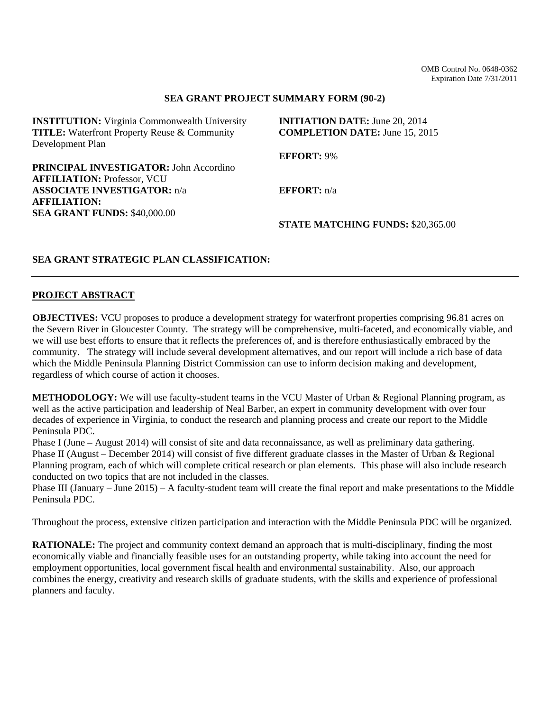## **SEA GRANT PROJECT SUMMARY FORM (90-2)**

| <b>INSTITUTION:</b> Virginia Commonwealth University | <b>INITIATION DATE:</b> June 20, 2014    |
|------------------------------------------------------|------------------------------------------|
| <b>TITLE:</b> Waterfront Property Reuse & Community  | <b>COMPLETION DATE:</b> June 15, 2015    |
| Development Plan                                     |                                          |
|                                                      | <b>EFFORT: 9%</b>                        |
| <b>PRINCIPAL INVESTIGATOR: John Accordino</b>        |                                          |
| <b>AFFILIATION: Professor, VCU</b>                   |                                          |
| <b>ASSOCIATE INVESTIGATOR: n/a</b>                   | <b>EFFORT:</b> $n/a$                     |
| <b>AFFILIATION:</b>                                  |                                          |
| <b>SEA GRANT FUNDS: \$40,000.00</b>                  |                                          |
|                                                      | <b>STATE MATCHING FUNDS: \$20,365.00</b> |
|                                                      |                                          |

## **SEA GRANT STRATEGIC PLAN CLASSIFICATION:**

### **PROJECT ABSTRACT**

**OBJECTIVES:** VCU proposes to produce a development strategy for waterfront properties comprising 96.81 acres on the Severn River in Gloucester County. The strategy will be comprehensive, multi-faceted, and economically viable, and we will use best efforts to ensure that it reflects the preferences of, and is therefore enthusiastically embraced by the community. The strategy will include several development alternatives, and our report will include a rich base of data which the Middle Peninsula Planning District Commission can use to inform decision making and development, regardless of which course of action it chooses.

**METHODOLOGY:** We will use faculty-student teams in the VCU Master of Urban & Regional Planning program, as well as the active participation and leadership of Neal Barber, an expert in community development with over four decades of experience in Virginia, to conduct the research and planning process and create our report to the Middle Peninsula PDC.

Phase I (June – August 2014) will consist of site and data reconnaissance, as well as preliminary data gathering. Phase II (August – December 2014) will consist of five different graduate classes in the Master of Urban & Regional Planning program, each of which will complete critical research or plan elements. This phase will also include research conducted on two topics that are not included in the classes.

Phase III (January – June 2015) – A faculty-student team will create the final report and make presentations to the Middle Peninsula PDC.

Throughout the process, extensive citizen participation and interaction with the Middle Peninsula PDC will be organized.

**RATIONALE:** The project and community context demand an approach that is multi-disciplinary, finding the most economically viable and financially feasible uses for an outstanding property, while taking into account the need for employment opportunities, local government fiscal health and environmental sustainability. Also, our approach combines the energy, creativity and research skills of graduate students, with the skills and experience of professional planners and faculty.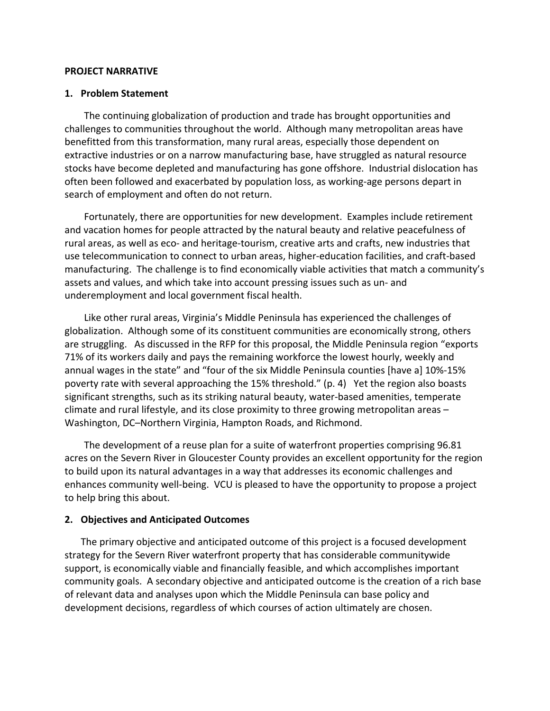## **PROJECT NARRATIVE**

# **1. Problem Statement**

The continuing globalization of production and trade has brought opportunities and challenges to communities throughout the world. Although many metropolitan areas have benefitted from this transformation, many rural areas, especially those dependent on extractive industries or on a narrow manufacturing base, have struggled as natural resource stocks have become depleted and manufacturing has gone offshore. Industrial dislocation has often been followed and exacerbated by population loss, as working‐age persons depart in search of employment and often do not return.

Fortunately, there are opportunities for new development. Examples include retirement and vacation homes for people attracted by the natural beauty and relative peacefulness of rural areas, as well as eco‐ and heritage‐tourism, creative arts and crafts, new industries that use telecommunication to connect to urban areas, higher‐education facilities, and craft‐based manufacturing. The challenge is to find economically viable activities that match a community's assets and values, and which take into account pressing issues such as un‐ and underemployment and local government fiscal health.

Like other rural areas, Virginia's Middle Peninsula has experienced the challenges of globalization. Although some of its constituent communities are economically strong, others are struggling. As discussed in the RFP for this proposal, the Middle Peninsula region "exports 71% of its workers daily and pays the remaining workforce the lowest hourly, weekly and annual wages in the state" and "four of the six Middle Peninsula counties [have a] 10%‐15% poverty rate with several approaching the 15% threshold." (p. 4) Yet the region also boasts significant strengths, such as its striking natural beauty, water‐based amenities, temperate climate and rural lifestyle, and its close proximity to three growing metropolitan areas – Washington, DC–Northern Virginia, Hampton Roads, and Richmond.

The development of a reuse plan for a suite of waterfront properties comprising 96.81 acres on the Severn River in Gloucester County provides an excellent opportunity for the region to build upon its natural advantages in a way that addresses its economic challenges and enhances community well‐being. VCU is pleased to have the opportunity to propose a project to help bring this about.

# **2. Objectives and Anticipated Outcomes**

The primary objective and anticipated outcome of this project is a focused development strategy for the Severn River waterfront property that has considerable communitywide support, is economically viable and financially feasible, and which accomplishes important community goals. A secondary objective and anticipated outcome is the creation of a rich base of relevant data and analyses upon which the Middle Peninsula can base policy and development decisions, regardless of which courses of action ultimately are chosen.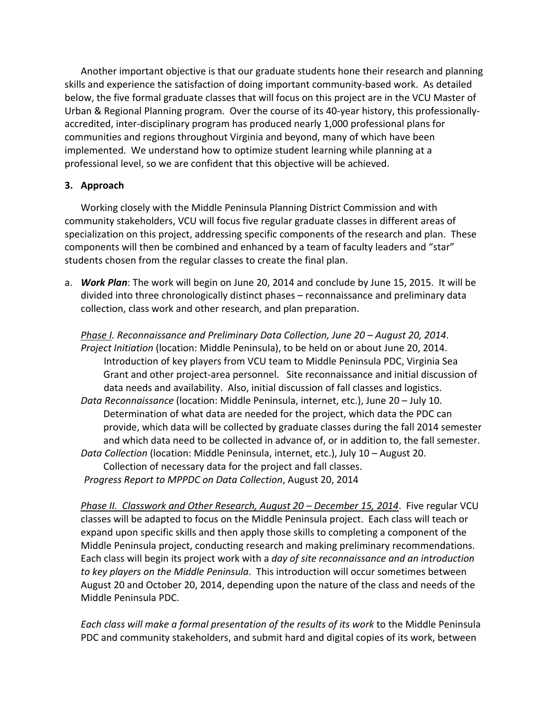Another important objective is that our graduate students hone their research and planning skills and experience the satisfaction of doing important community-based work. As detailed below, the five formal graduate classes that will focus on this project are in the VCU Master of Urban & Regional Planning program. Over the course of its 40‐year history, this professionally‐ accredited, inter‐disciplinary program has produced nearly 1,000 professional plans for communities and regions throughout Virginia and beyond, many of which have been implemented. We understand how to optimize student learning while planning at a professional level, so we are confident that this objective will be achieved.

# **3. Approach**

Working closely with the Middle Peninsula Planning District Commission and with community stakeholders, VCU will focus five regular graduate classes in different areas of specialization on this project, addressing specific components of the research and plan. These components will then be combined and enhanced by a team of faculty leaders and "star" students chosen from the regular classes to create the final plan.

a. *Work Plan*: The work will begin on June 20, 2014 and conclude by June 15, 2015. It will be divided into three chronologically distinct phases – reconnaissance and preliminary data collection, class work and other research, and plan preparation.

*Phase I. Reconnaissance and Preliminary Data Collection, June 20 – August 20, 2014*. *Project Initiation* (location: Middle Peninsula), to be held on or about June 20, 2014. Introduction of key players from VCU team to Middle Peninsula PDC, Virginia Sea Grant and other project‐area personnel. Site reconnaissance and initial discussion of data needs and availability. Also, initial discussion of fall classes and logistics. *Data Reconnaissance* (location: Middle Peninsula, internet, etc.), June 20 – July 10. Determination of what data are needed for the project, which data the PDC can provide, which data will be collected by graduate classes during the fall 2014 semester and which data need to be collected in advance of, or in addition to, the fall semester. *Data Collection* (location: Middle Peninsula, internet, etc.), July 10 – August 20. Collection of necessary data for the project and fall classes. *Progress Report to MPPDC on Data Collection*, August 20, 2014

*Phase II. Classwork and Other Research, August 20 – December 15, 2014*. Five regular VCU classes will be adapted to focus on the Middle Peninsula project. Each class will teach or expand upon specific skills and then apply those skills to completing a component of the Middle Peninsula project, conducting research and making preliminary recommendations. Each class will begin its project work with a *day of site reconnaissance and an introduction to key players on the Middle Peninsula*. This introduction will occur sometimes between August 20 and October 20, 2014, depending upon the nature of the class and needs of the Middle Peninsula PDC.

*Each class will make a formal presentation of the results of its work* to the Middle Peninsula PDC and community stakeholders, and submit hard and digital copies of its work, between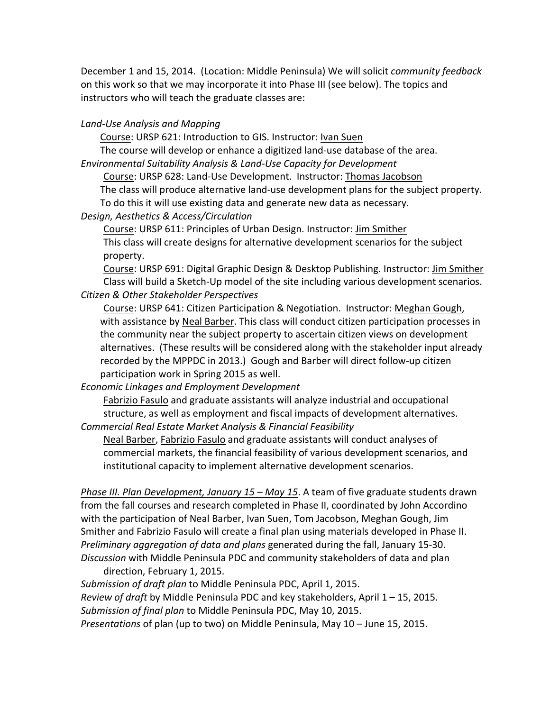December 1 and 15, 2014. (Location: Middle Peninsula) We will solicit *community feedback* on this work so that we may incorporate it into Phase III (see below). The topics and instructors who will teach the graduate classes are:

# *Land‐Use Analysis and Mapping*

Course: URSP 621: Introduction to GIS. Instructor: Ivan Suen

The course will develop or enhance a digitized land‐use database of the area.

*Environmental Suitability Analysis & Land‐Use Capacity for Development*

Course: URSP 628: Land‐Use Development. Instructor: Thomas Jacobson

The class will produce alternative land‐use development plans for the subject property.

To do this it will use existing data and generate new data as necessary.

# *Design, Aesthetics & Access/Circulation*

Course: URSP 611: Principles of Urban Design. Instructor: Jim Smither This class will create designs for alternative development scenarios for the subject property.

Course: URSP 691: Digital Graphic Design & Desktop Publishing. Instructor: Jim Smither Class will build a Sketch‐Up model of the site including various development scenarios. *Citizen & Other Stakeholder Perspectives*

Course: URSP 641: Citizen Participation & Negotiation. Instructor: Meghan Gough, with assistance by Neal Barber. This class will conduct citizen participation processes in the community near the subject property to ascertain citizen views on development alternatives. (These results will be considered along with the stakeholder input already recorded by the MPPDC in 2013.) Gough and Barber will direct follow‐up citizen participation work in Spring 2015 as well.

*Economic Linkages and Employment Development*

Fabrizio Fasulo and graduate assistants will analyze industrial and occupational structure, as well as employment and fiscal impacts of development alternatives. *Commercial Real Estate Market Analysis & Financial Feasibility*

Neal Barber, Fabrizio Fasulo and graduate assistants will conduct analyses of commercial markets, the financial feasibility of various development scenarios, and institutional capacity to implement alternative development scenarios.

*Phase III. Plan Development, January 15 – May 15*. A team of five graduate students drawn from the fall courses and research completed in Phase II, coordinated by John Accordino with the participation of Neal Barber, Ivan Suen, Tom Jacobson, Meghan Gough, Jim Smither and Fabrizio Fasulo will create a final plan using materials developed in Phase II. *Preliminary aggregation of data and plans* generated during the fall, January 15‐30. *Discussion* with Middle Peninsula PDC and community stakeholders of data and plan direction, February 1, 2015.

*Submission of draft plan* to Middle Peninsula PDC, April 1, 2015. *Review of draft* by Middle Peninsula PDC and key stakeholders, April 1 – 15, 2015. *Submission of final plan* to Middle Peninsula PDC, May 10, 2015. *Presentations* of plan (up to two) on Middle Peninsula, May 10 – June 15, 2015.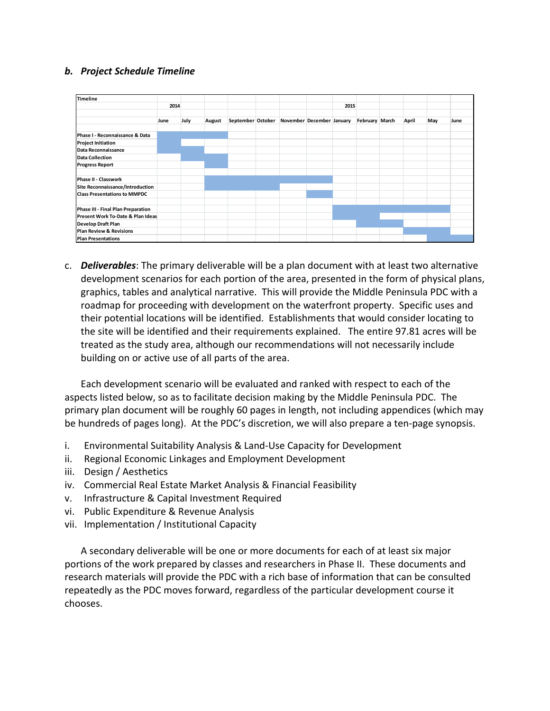# *b. Project Schedule Timeline*

| <b>Timeline</b>                     |      |      |        |  |                                             |      |                |       |     |      |
|-------------------------------------|------|------|--------|--|---------------------------------------------|------|----------------|-------|-----|------|
|                                     | 2014 |      |        |  |                                             | 2015 |                |       |     |      |
|                                     | June | July | August |  | September October November December January |      | February March | April | May | June |
| Phase I - Reconnaissance & Data     |      |      |        |  |                                             |      |                |       |     |      |
| <b>Project Initiation</b>           |      |      |        |  |                                             |      |                |       |     |      |
| Data Reconnaissance                 |      |      |        |  |                                             |      |                |       |     |      |
| <b>Data Collection</b>              |      |      |        |  |                                             |      |                |       |     |      |
| <b>Progress Report</b>              |      |      |        |  |                                             |      |                |       |     |      |
| <b>Phase II - Classwork</b>         |      |      |        |  |                                             |      |                |       |     |      |
| Site Reconnaissance/Introduction    |      |      |        |  |                                             |      |                |       |     |      |
| <b>Class Presentations to MMPDC</b> |      |      |        |  |                                             |      |                |       |     |      |
| Phase III - Final Plan Preparation  |      |      |        |  |                                             |      |                |       |     |      |
| Present Work To-Date & Plan Ideas   |      |      |        |  |                                             |      |                |       |     |      |
| <b>Develop Draft Plan</b>           |      |      |        |  |                                             |      |                |       |     |      |
| <b>Plan Review &amp; Revisions</b>  |      |      |        |  |                                             |      |                |       |     |      |
| <b>Plan Presentations</b>           |      |      |        |  |                                             |      |                |       |     |      |

c. *Deliverables*: The primary deliverable will be a plan document with at least two alternative development scenarios for each portion of the area, presented in the form of physical plans, graphics, tables and analytical narrative. This will provide the Middle Peninsula PDC with a roadmap for proceeding with development on the waterfront property. Specific uses and their potential locations will be identified. Establishments that would consider locating to the site will be identified and their requirements explained. The entire 97.81 acres will be treated as the study area, although our recommendations will not necessarily include building on or active use of all parts of the area.

Each development scenario will be evaluated and ranked with respect to each of the aspects listed below, so as to facilitate decision making by the Middle Peninsula PDC. The primary plan document will be roughly 60 pages in length, not including appendices (which may be hundreds of pages long). At the PDC's discretion, we will also prepare a ten-page synopsis.

- i. Environmental Suitability Analysis & Land‐Use Capacity for Development
- ii. Regional Economic Linkages and Employment Development
- iii. Design / Aesthetics
- iv. Commercial Real Estate Market Analysis & Financial Feasibility
- v. Infrastructure & Capital Investment Required
- vi. Public Expenditure & Revenue Analysis
- vii. Implementation / Institutional Capacity

A secondary deliverable will be one or more documents for each of at least six major portions of the work prepared by classes and researchers in Phase II. These documents and research materials will provide the PDC with a rich base of information that can be consulted repeatedly as the PDC moves forward, regardless of the particular development course it chooses.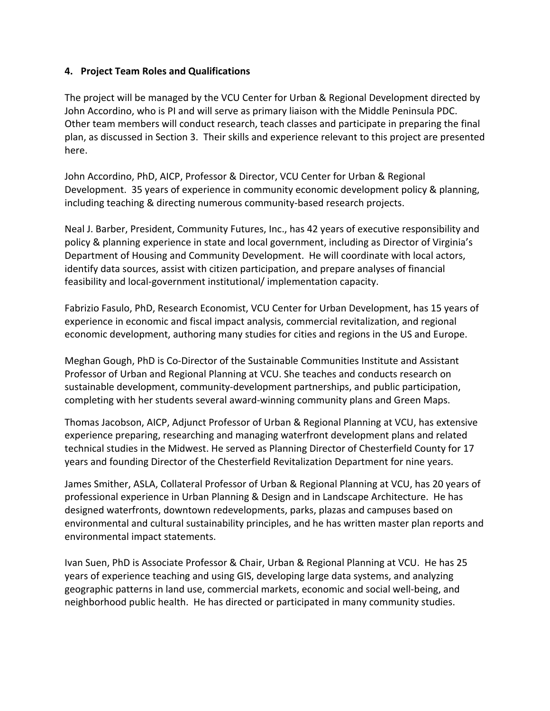# **4. Project Team Roles and Qualifications**

The project will be managed by the VCU Center for Urban & Regional Development directed by John Accordino, who is PI and will serve as primary liaison with the Middle Peninsula PDC. Other team members will conduct research, teach classes and participate in preparing the final plan, as discussed in Section 3. Their skills and experience relevant to this project are presented here.

John Accordino, PhD, AICP, Professor & Director, VCU Center for Urban & Regional Development. 35 years of experience in community economic development policy & planning, including teaching & directing numerous community‐based research projects.

Neal J. Barber, President, Community Futures, Inc., has 42 years of executive responsibility and policy & planning experience in state and local government, including as Director of Virginia's Department of Housing and Community Development. He will coordinate with local actors, identify data sources, assist with citizen participation, and prepare analyses of financial feasibility and local‐government institutional/ implementation capacity.

Fabrizio Fasulo, PhD, Research Economist, VCU Center for Urban Development, has 15 years of experience in economic and fiscal impact analysis, commercial revitalization, and regional economic development, authoring many studies for cities and regions in the US and Europe.

Meghan Gough, PhD is Co‐Director of the Sustainable Communities Institute and Assistant Professor of Urban and Regional Planning at VCU. She teaches and conducts research on sustainable development, community‐development partnerships, and public participation, completing with her students several award‐winning community plans and Green Maps.

Thomas Jacobson, AICP, Adjunct Professor of Urban & Regional Planning at VCU, has extensive experience preparing, researching and managing waterfront development plans and related technical studies in the Midwest. He served as Planning Director of Chesterfield County for 17 years and founding Director of the Chesterfield Revitalization Department for nine years.

James Smither, ASLA, Collateral Professor of Urban & Regional Planning at VCU, has 20 years of professional experience in Urban Planning & Design and in Landscape Architecture. He has designed waterfronts, downtown redevelopments, parks, plazas and campuses based on environmental and cultural sustainability principles, and he has written master plan reports and environmental impact statements.

Ivan Suen, PhD is Associate Professor & Chair, Urban & Regional Planning at VCU. He has 25 years of experience teaching and using GIS, developing large data systems, and analyzing geographic patterns in land use, commercial markets, economic and social well‐being, and neighborhood public health. He has directed or participated in many community studies.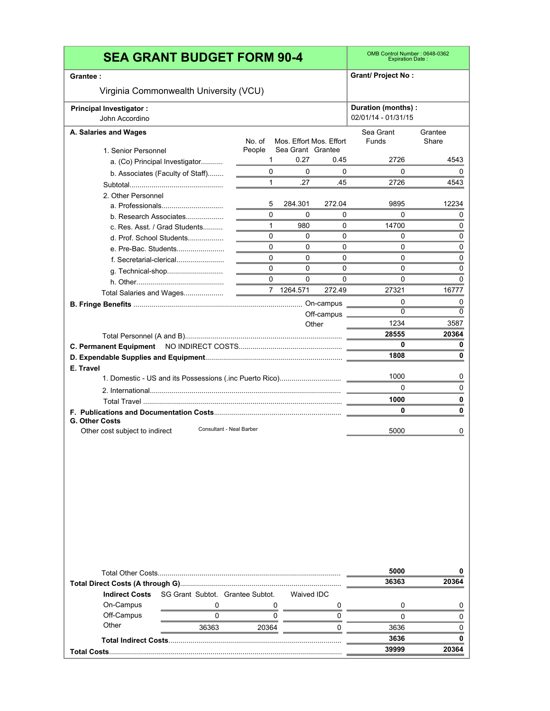|                                | <b>SEA GRANT BUDGET FORM 90-4</b>          |                                 |                   |                         | OMB Control Number: 0648-0362<br><b>Expiration Date:</b> |                           |
|--------------------------------|--------------------------------------------|---------------------------------|-------------------|-------------------------|----------------------------------------------------------|---------------------------|
| Grantee :                      |                                            |                                 |                   |                         | <b>Grant/ Project No:</b>                                |                           |
|                                | Virginia Commonwealth University (VCU)     |                                 |                   |                         |                                                          |                           |
| <b>Principal Investigator:</b> |                                            |                                 |                   |                         | Duration (months) :                                      |                           |
| John Accordino                 |                                            |                                 |                   |                         | 02/01/14 - 01/31/15                                      |                           |
| A. Salaries and Wages          |                                            |                                 |                   |                         | Sea Grant                                                | Grantee                   |
|                                |                                            | No. of                          |                   | Mos. Effort Mos. Effort | Funds                                                    | Share                     |
| 1. Senior Personnel            |                                            | People                          | Sea Grant Grantee |                         |                                                          |                           |
|                                | a. (Co) Principal Investigator             | 1                               | 0.27              | 0.45                    | 2726                                                     | 4543                      |
|                                | b. Associates (Faculty of Staff)           | $\Omega$<br>$\mathbf{1}$        | 0<br>.27          | 0<br>.45                | $\Omega$<br>2726                                         | 0<br>4543                 |
|                                |                                            |                                 |                   |                         |                                                          |                           |
| 2. Other Personnel             |                                            | 5                               | 284.301           | 272.04                  | 9895                                                     | 12234                     |
|                                | a. Professionals<br>b. Research Associates | $\Omega$                        | 0                 | 0                       | 0                                                        | 0                         |
|                                | c. Res. Asst. / Grad Students              | $\mathbf{1}$                    | 980               | 0                       | 14700                                                    | 0                         |
|                                | d. Prof. School Students                   | $\Omega$                        | 0                 | 0                       | 0                                                        | 0                         |
|                                | e. Pre-Bac. Students                       | $\Omega$                        | 0                 | 0                       | 0                                                        | 0                         |
|                                | f. Secretarial-clerical                    | $\Omega$                        | 0                 | 0                       | 0                                                        | 0                         |
|                                | g. Technical-shop                          | $\Omega$                        | 0                 | 0                       | 0                                                        | 0                         |
|                                |                                            | $\Omega$                        | 0                 | 0                       | 0                                                        | 0                         |
|                                | Total Salaries and Wages                   | $\frac{1}{2}$ and $\frac{1}{2}$ | 7 1264.571        | 272.49                  | 27321                                                    | 16777                     |
|                                |                                            |                                 |                   |                         | 0                                                        | 0                         |
|                                |                                            |                                 |                   | Off-campus              | $\Omega$                                                 | $\Omega$                  |
|                                |                                            |                                 |                   | Other                   | 1234                                                     | 3587                      |
|                                |                                            |                                 |                   |                         | 28555                                                    | 20364                     |
|                                |                                            |                                 |                   |                         | 0                                                        | 0                         |
|                                |                                            |                                 |                   |                         | 1808                                                     | 0                         |
| E. Travel                      |                                            |                                 |                   |                         | 1000                                                     | 0                         |
|                                |                                            |                                 |                   |                         | 0                                                        | $\Omega$                  |
|                                |                                            |                                 |                   |                         | 1000                                                     |                           |
|                                |                                            |                                 |                   |                         | 0                                                        | 0<br>0                    |
| <b>G. Other Costs</b>          |                                            |                                 |                   |                         |                                                          |                           |
| Other cost subject to indirect | Consultant - Neal Barber                   |                                 |                   |                         | 5000                                                     | 0                         |
|                                |                                            |                                 |                   |                         |                                                          |                           |
|                                |                                            |                                 |                   |                         |                                                          |                           |
|                                |                                            |                                 |                   |                         |                                                          |                           |
|                                |                                            |                                 |                   |                         | 5000                                                     |                           |
|                                |                                            |                                 |                   |                         | 36363                                                    |                           |
| <b>Indirect Costs</b>          | SG Grant Subtot. Grantee Subtot.           |                                 | <b>Waived IDC</b> |                         |                                                          |                           |
| On-Campus                      | 0                                          |                                 | 0                 | 0                       | 0                                                        |                           |
| Off-Campus                     | 0                                          |                                 | 0                 | 0                       | 0                                                        |                           |
| Other                          | 36363                                      | 20364                           |                   | 0                       | 3636                                                     | 0<br>20364<br>0<br>0<br>0 |
|                                |                                            |                                 |                   |                         | 3636                                                     | 0                         |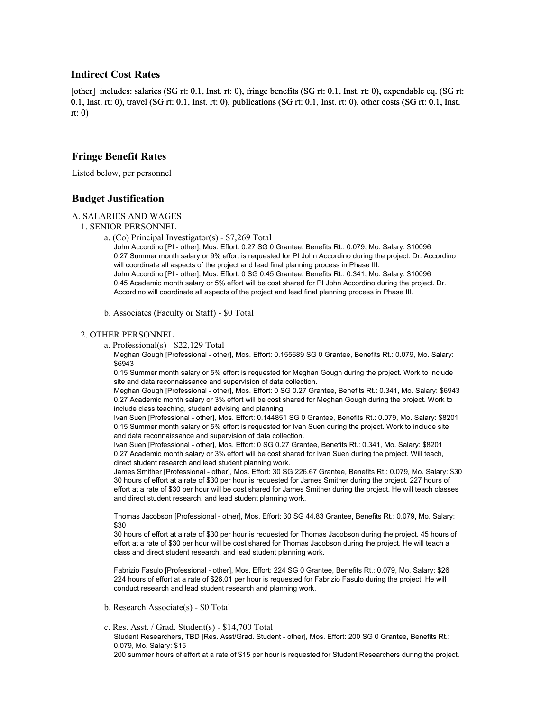## **Indirect Cost Rates**

[other] includes: salaries (SG rt: 0.1, Inst. rt: 0), fringe benefits (SG rt: 0.1, Inst. rt: 0), expendable eq. (SG rt: 0.1, Inst. rt: 0), travel (SG rt: 0.1, Inst. rt: 0), publications (SG rt: 0.1, Inst. rt: 0), other costs (SG rt: 0.1, Inst. rt: 0)

## **Fringe Benefit Rates**

Listed below, per personnel

## **Budget Justification**

#### A. SALARIES AND WAGES

- 1. SENIOR PERSONNEL
	- a. (Co) Principal Investigator(s) \$7,269 Total

John Accordino [PI - other], Mos. Effort: 0.27 SG 0 Grantee, Benefits Rt.: 0.079, Mo. Salary: \$10096 0.27 Summer month salary or 9% effort is requested for PI John Accordino during the project. Dr. Accordino will coordinate all aspects of the project and lead final planning process in Phase III. John Accordino [PI - other], Mos. Effort: 0 SG 0.45 Grantee, Benefits Rt.: 0.341, Mo. Salary: \$10096 0.45 Academic month salary or 5% effort will be cost shared for PI John Accordino during the project. Dr. Accordino will coordinate all aspects of the project and lead final planning process in Phase III.

b. Associates (Faculty or Staff) - \$0 Total

#### 2. OTHER PERSONNEL

a. Professional(s) - \$22,129 Total

Meghan Gough [Professional - other], Mos. Effort: 0.155689 SG 0 Grantee, Benefits Rt.: 0.079, Mo. Salary: \$6943

0.15 Summer month salary or 5% effort is requested for Meghan Gough during the project. Work to include site and data reconnaissance and supervision of data collection.

Meghan Gough [Professional - other], Mos. Effort: 0 SG 0.27 Grantee, Benefits Rt.: 0.341, Mo. Salary: \$6943 0.27 Academic month salary or 3% effort will be cost shared for Meghan Gough during the project. Work to include class teaching, student advising and planning.

Ivan Suen [Professional - other], Mos. Effort: 0.144851 SG 0 Grantee, Benefits Rt.: 0.079, Mo. Salary: \$8201 0.15 Summer month salary or 5% effort is requested for Ivan Suen during the project. Work to include site and data reconnaissance and supervision of data collection.

Ivan Suen [Professional - other], Mos. Effort: 0 SG 0.27 Grantee, Benefits Rt.: 0.341, Mo. Salary: \$8201 0.27 Academic month salary or 3% effort will be cost shared for Ivan Suen during the project. Will teach, direct student research and lead student planning work.

James Smither [Professional - other], Mos. Effort: 30 SG 226.67 Grantee, Benefits Rt.: 0.079, Mo. Salary: \$30 30 hours of effort at a rate of \$30 per hour is requested for James Smither during the project. 227 hours of effort at a rate of \$30 per hour will be cost shared for James Smither during the project. He will teach classes and direct student research, and lead student planning work.

Thomas Jacobson [Professional - other], Mos. Effort: 30 SG 44.83 Grantee, Benefits Rt.: 0.079, Mo. Salary: \$30

30 hours of effort at a rate of \$30 per hour is requested for Thomas Jacobson during the project. 45 hours of effort at a rate of \$30 per hour will be cost shared for Thomas Jacobson during the project. He will teach a class and direct student research, and lead student planning work.

Fabrizio Fasulo [Professional - other], Mos. Effort: 224 SG 0 Grantee, Benefits Rt.: 0.079, Mo. Salary: \$26 224 hours of effort at a rate of \$26.01 per hour is requested for Fabrizio Fasulo during the project. He will conduct research and lead student research and planning work.

- b. Research Associate(s) \$0 Total
- c. Res. Asst. / Grad. Student(s) \$14,700 Total Student Researchers, TBD [Res. Asst/Grad. Student - other], Mos. Effort: 200 SG 0 Grantee, Benefits Rt.: 0.079, Mo. Salary: \$15 200 summer hours of effort at a rate of \$15 per hour is requested for Student Researchers during the project.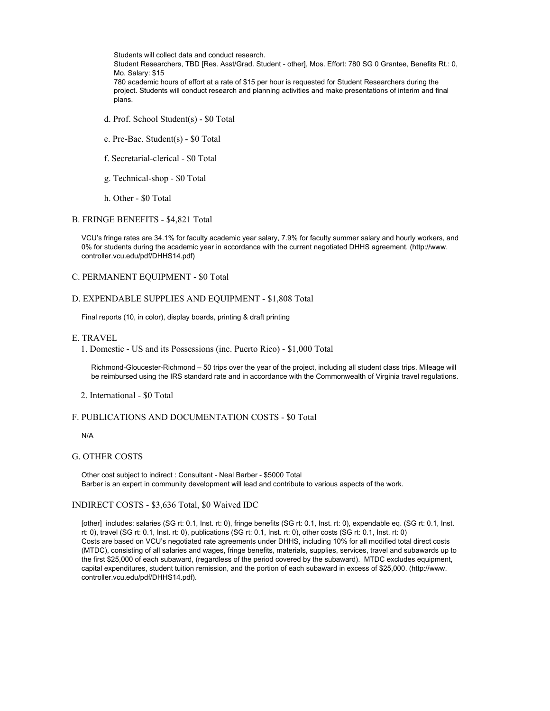Students will collect data and conduct research. Student Researchers, TBD [Res. Asst/Grad. Student - other], Mos. Effort: 780 SG 0 Grantee, Benefits Rt.: 0, Mo. Salary: \$15 780 academic hours of effort at a rate of \$15 per hour is requested for Student Researchers during the project. Students will conduct research and planning activities and make presentations of interim and final plans.

- d. Prof. School Student(s) \$0 Total
- e. Pre-Bac. Student(s) \$0 Total
- f. Secretarial-clerical \$0 Total
- g. Technical-shop \$0 Total
- h. Other \$0 Total

#### B. FRINGE BENEFITS - \$4,821 Total

VCU's fringe rates are 34.1% for faculty academic year salary, 7.9% for faculty summer salary and hourly workers, and 0% for students during the academic year in accordance with the current negotiated DHHS agreement. (http://www. controller.vcu.edu/pdf/DHHS14.pdf)

#### C. PERMANENT EQUIPMENT - \$0 Total

#### D. EXPENDABLE SUPPLIES AND EQUIPMENT - \$1,808 Total

Final reports (10, in color), display boards, printing & draft printing

#### E. TRAVEL

1. Domestic - US and its Possessions (inc. Puerto Rico) - \$1,000 Total

Richmond-Gloucester-Richmond – 50 trips over the year of the project, including all student class trips. Mileage will be reimbursed using the IRS standard rate and in accordance with the Commonwealth of Virginia travel regulations.

2. International - \$0 Total

#### F. PUBLICATIONS AND DOCUMENTATION COSTS - \$0 Total

#### N/A

#### G. OTHER COSTS

Other cost subject to indirect : Consultant - Neal Barber - \$5000 Total Barber is an expert in community development will lead and contribute to various aspects of the work.

#### INDIRECT COSTS - \$3,636 Total, \$0 Waived IDC

[other] includes: salaries (SG rt: 0.1, Inst. rt: 0), fringe benefits (SG rt: 0.1, Inst. rt: 0), expendable eq. (SG rt: 0.1, Inst. rt: 0), travel (SG rt: 0.1, Inst. rt: 0), publications (SG rt: 0.1, Inst. rt: 0), other costs (SG rt: 0.1, Inst. rt: 0) Costs are based on VCU's negotiated rate agreements under DHHS, including 10% for all modified total direct costs (MTDC), consisting of all salaries and wages, fringe benefits, materials, supplies, services, travel and subawards up to the first \$25,000 of each subaward, (regardless of the period covered by the subaward). MTDC excludes equipment, capital expenditures, student tuition remission, and the portion of each subaward in excess of \$25,000. (http://www. controller.vcu.edu/pdf/DHHS14.pdf).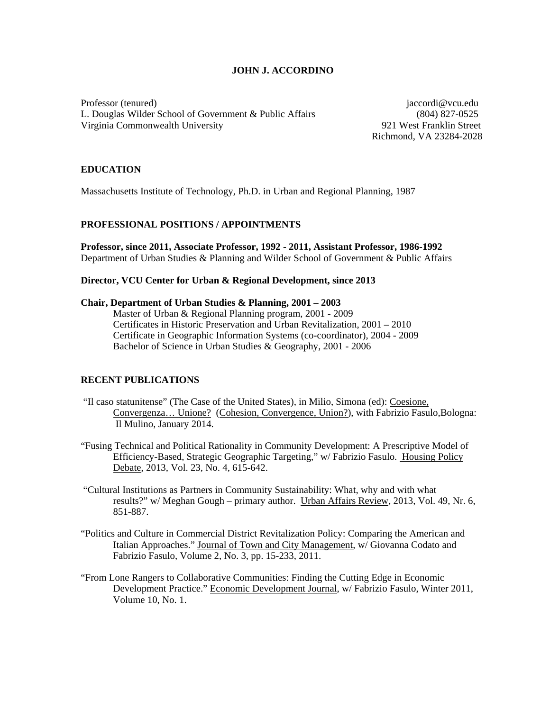## **JOHN J. ACCORDINO**

Professor (tenured) jaccordi@vcu.edu L. Douglas Wilder School of Government & Public Affairs (804) 827-0525 Virginia Commonwealth University 921 West Franklin Street

Richmond, VA 23284-2028

### **EDUCATION**

Massachusetts Institute of Technology, Ph.D. in Urban and Regional Planning, 1987

### **PROFESSIONAL POSITIONS / APPOINTMENTS**

**Professor, since 2011, Associate Professor, 1992 - 2011, Assistant Professor, 1986-1992**  Department of Urban Studies & Planning and Wilder School of Government & Public Affairs

### **Director, VCU Center for Urban & Regional Development, since 2013**

### **Chair, Department of Urban Studies & Planning, 2001 – 2003**

Master of Urban & Regional Planning program, 2001 - 2009 Certificates in Historic Preservation and Urban Revitalization, 2001 – 2010 Certificate in Geographic Information Systems (co-coordinator), 2004 - 2009 Bachelor of Science in Urban Studies & Geography, 2001 - 2006

# **RECENT PUBLICATIONS**

- "Il caso statunitense" (The Case of the United States), in Milio, Simona (ed): Coesione, Convergenza… Unione? (Cohesion, Convergence, Union?), with Fabrizio Fasulo,Bologna: Il Mulino, January 2014.
- "Fusing Technical and Political Rationality in Community Development: A Prescriptive Model of Efficiency-Based, Strategic Geographic Targeting," w/ Fabrizio Fasulo. Housing Policy Debate, 2013, Vol. 23, No. 4, 615-642.
- "Cultural Institutions as Partners in Community Sustainability: What, why and with what results?" w/ Meghan Gough – primary author. Urban Affairs Review, 2013, Vol. 49, Nr. 6, 851-887.
- "Politics and Culture in Commercial District Revitalization Policy: Comparing the American and Italian Approaches." Journal of Town and City Management, w/ Giovanna Codato and Fabrizio Fasulo, Volume 2, No. 3, pp. 15-233, 2011.
- "From Lone Rangers to Collaborative Communities: Finding the Cutting Edge in Economic Development Practice." Economic Development Journal, w/ Fabrizio Fasulo, Winter 2011, Volume 10, No. 1.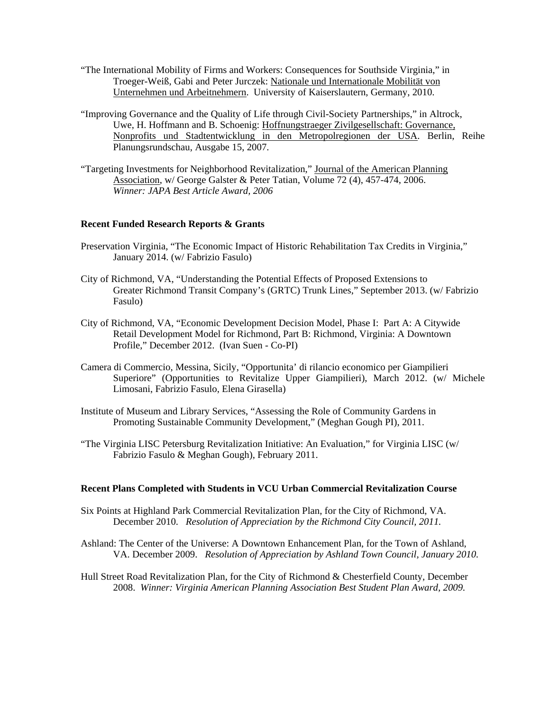- "The International Mobility of Firms and Workers: Consequences for Southside Virginia," in Troeger-Weiß, Gabi and Peter Jurczek: Nationale und Internationale Mobilität von Unternehmen und Arbeitnehmern. University of Kaiserslautern, Germany, 2010.
- "Improving Governance and the Quality of Life through Civil-Society Partnerships," in Altrock, Uwe, H. Hoffmann and B. Schoenig: Hoffnungstraeger Zivilgesellschaft: Governance, Nonprofits und Stadtentwicklung in den Metropolregionen der USA. Berlin, Reihe Planungsrundschau, Ausgabe 15, 2007.
- "Targeting Investments for Neighborhood Revitalization," Journal of the American Planning Association, w/ George Galster & Peter Tatian, Volume 72 (4), 457-474, 2006. *Winner: JAPA Best Article Award, 2006*

### **Recent Funded Research Reports & Grants**

- Preservation Virginia, "The Economic Impact of Historic Rehabilitation Tax Credits in Virginia," January 2014. (w/ Fabrizio Fasulo)
- City of Richmond, VA, "Understanding the Potential Effects of Proposed Extensions to Greater Richmond Transit Company's (GRTC) Trunk Lines," September 2013. (w/ Fabrizio Fasulo)
- City of Richmond, VA, "Economic Development Decision Model, Phase I: Part A: A Citywide Retail Development Model for Richmond, Part B: Richmond, Virginia: A Downtown Profile," December 2012. (Ivan Suen - Co-PI)
- Camera di Commercio, Messina, Sicily, "Opportunita' di rilancio economico per Giampilieri Superiore" (Opportunities to Revitalize Upper Giampilieri), March 2012. (w/ Michele Limosani, Fabrizio Fasulo, Elena Girasella)
- Institute of Museum and Library Services, "Assessing the Role of Community Gardens in Promoting Sustainable Community Development," (Meghan Gough PI), 2011.
- "The Virginia LISC Petersburg Revitalization Initiative: An Evaluation," for Virginia LISC (w/ Fabrizio Fasulo & Meghan Gough), February 2011.

### **Recent Plans Completed with Students in VCU Urban Commercial Revitalization Course**

- Six Points at Highland Park Commercial Revitalization Plan, for the City of Richmond, VA. December 2010. *Resolution of Appreciation by the Richmond City Council, 2011.*
- Ashland: The Center of the Universe: A Downtown Enhancement Plan, for the Town of Ashland, VA. December 2009. *Resolution of Appreciation by Ashland Town Council, January 2010.*
- Hull Street Road Revitalization Plan, for the City of Richmond & Chesterfield County, December 2008. *Winner: Virginia American Planning Association Best Student Plan Award, 2009.*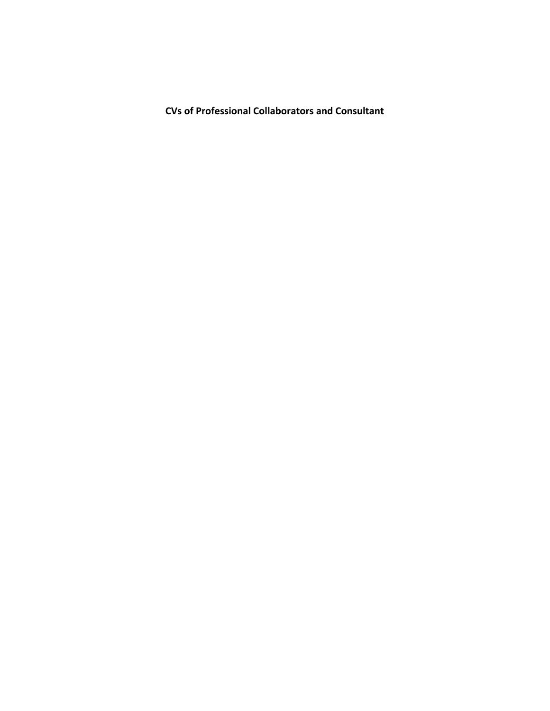**CVs of Professional Collaborators and Consultant**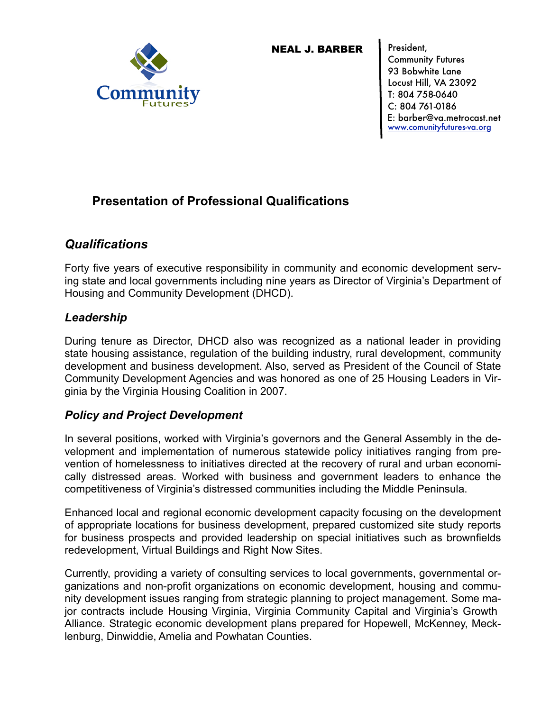

NEAL J. BARBER

President, Community Futures 93 Bobwhite Lane Locust Hill, VA 23092 T: 804 758-0640 C: 804 761-0186 [www.comunityfutures-va.org](http://www.comunityfutures-va.org) [E:](http://www.comunityfutures-va.org) barber@va.metrocast.net

# **Presentation of Professional Qualifications**

# *Qualifications*

Forty five years of executive responsibility in community and economic development serving state and local governments including nine years as Director of Virginia's Department of Housing and Community Development (DHCD).

# *Leadership*

During tenure as Director, DHCD also was recognized as a national leader in providing state housing assistance, regulation of the building industry, rural development, community development and business development. Also, served as President of the Council of State Community Development Agencies and was honored as one of 25 Housing Leaders in Virginia by the Virginia Housing Coalition in 2007.

# *Policy and Project Development*

In several positions, worked with Virginia's governors and the General Assembly in the development and implementation of numerous statewide policy initiatives ranging from prevention of homelessness to initiatives directed at the recovery of rural and urban economically distressed areas. Worked with business and government leaders to enhance the competitiveness of Virginia's distressed communities including the Middle Peninsula.

Enhanced local and regional economic development capacity focusing on the development of appropriate locations for business development, prepared customized site study reports for business prospects and provided leadership on special initiatives such as brownfields redevelopment, Virtual Buildings and Right Now Sites.

Currently, providing a variety of consulting services to local governments, governmental organizations and non-profit organizations on economic development, housing and community development issues ranging from strategic planning to project management. Some major contracts include Housing Virginia, Virginia Community Capital and Virginia's Growth Alliance. Strategic economic development plans prepared for Hopewell, McKenney, Mecklenburg, Dinwiddie, Amelia and Powhatan Counties.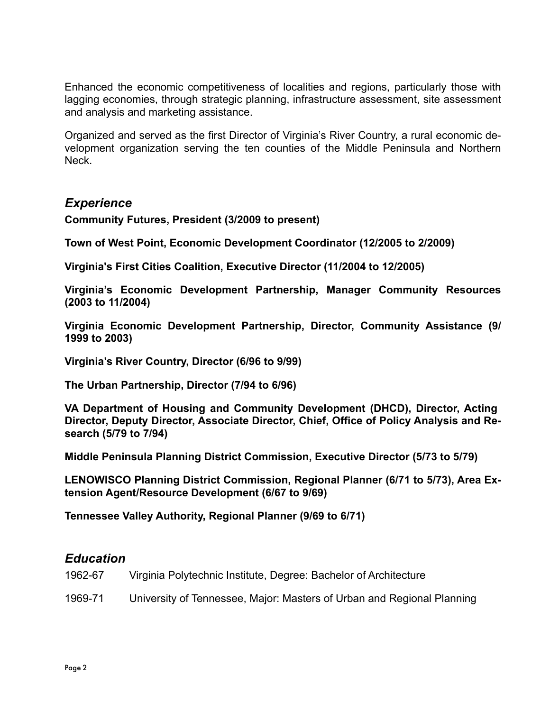Enhanced the economic competitiveness of localities and regions, particularly those with lagging economies, through strategic planning, infrastructure assessment, site assessment and analysis and marketing assistance.

Organized and served as the first Director of Virginia's River Country, a rural economic development organization serving the ten counties of the Middle Peninsula and Northern Neck.

# *Experience*

**Community Futures, President (3/2009 to present)**

**Town of West Point, Economic Development Coordinator (12/2005 to 2/2009)**

**Virginia's First Cities Coalition, Executive Director (11/2004 to 12/2005)**

**Virginia's Economic Development Partnership, Manager Community Resources (2003 to 11/2004)**

**Virginia Economic Development Partnership, Director, Community Assistance (9/ 1999 to 2003)**

**Virginia's River Country, Director (6/96 to 9/99)**

**The Urban Partnership, Director (7/94 to 6/96)**

**VA Department of Housing and Community Development (DHCD), Director, Acting Director, Deputy Director, Associate Director, Chief, Office of Policy Analysis and Research (5/79 to 7/94)**

**Middle Peninsula Planning District Commission, Executive Director (5/73 to 5/79)**

**LENOWISCO Planning District Commission, Regional Planner (6/71 to 5/73), Area Extension Agent/Resource Development (6/67 to 9/69)**

**Tennessee Valley Authority, Regional Planner (9/69 to 6/71)**

# *Education*

- 1962-67 Virginia Polytechnic Institute, Degree: Bachelor of Architecture
- 1969-71 University of Tennessee, Major: Masters of Urban and Regional Planning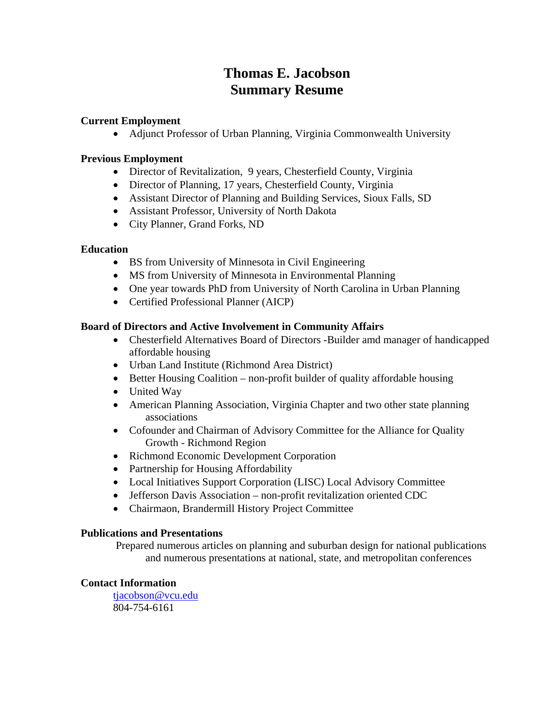# **Thomas E. Jacobson Summary Resume**

# **Current Employment**

Adjunct Professor of Urban Planning, Virginia Commonwealth University

# **Previous Employment**

- Director of Revitalization, 9 years, Chesterfield County, Virginia
- Director of Planning, 17 years, Chesterfield County, Virginia
- Assistant Director of Planning and Building Services, Sioux Falls, SD
- Assistant Professor, University of North Dakota
- City Planner, Grand Forks, ND

# **Education**

- BS from University of Minnesota in Civil Engineering
- MS from University of Minnesota in Environmental Planning
- One year towards PhD from University of North Carolina in Urban Planning
- Certified Professional Planner (AICP)

# **Board of Directors and Active Involvement in Community Affairs**

- Chesterfield Alternatives Board of Directors -Builder amd manager of handicapped affordable housing
- Urban Land Institute (Richmond Area District)
- Better Housing Coalition non-profit builder of quality affordable housing
- United Way
- American Planning Association, Virginia Chapter and two other state planning associations
- Cofounder and Chairman of Advisory Committee for the Alliance for Quality Growth - Richmond Region
- Richmond Economic Development Corporation
- Partnership for Housing Affordability
- Local Initiatives Support Corporation (LISC) Local Advisory Committee
- Jefferson Davis Association non-profit revitalization oriented CDC
- Chairmaon, Brandermill History Project Committee

# **Publications and Presentations**

 Prepared numerous articles on planning and suburban design for national publications and numerous presentations at national, state, and metropolitan conferences

# **Contact Information**

tjacobson@vcu.edu 804-754-6161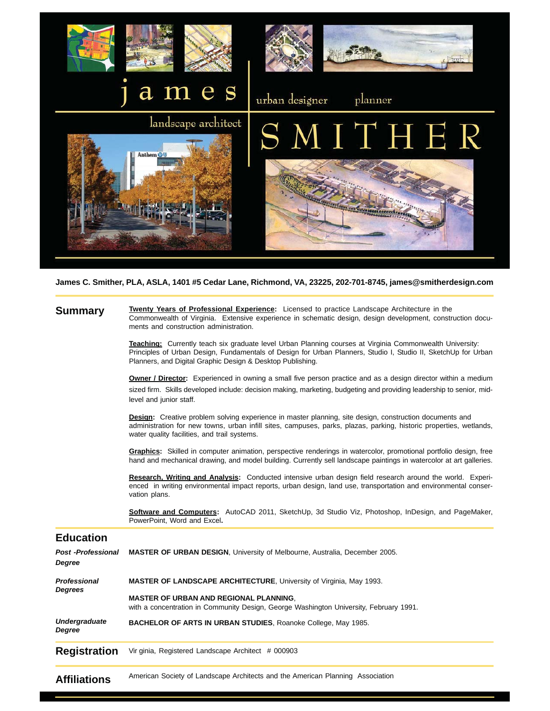

**James C. Smither, PLA, ASLA, 1401 #5 Cedar Lane, Richmond, VA, 23225, 202-701-8745, james@smitherdesign.com**

## **Summary**

**Twenty Years of Professional Experience:** Licensed to practice Landscape Architecture in the Commonwealth of Virginia. Extensive experience in schematic design, design development, construction documents and construction administration.

**Teaching:** Currently teach six graduate level Urban Planning courses at Virginia Commonwealth University: Principles of Urban Design, Fundamentals of Design for Urban Planners, Studio I, Studio II, SketchUp for Urban Planners, and Digital Graphic Design & Desktop Publishing.

**Owner / Director:** Experienced in owning a small five person practice and as a design director within a medium sized firm. Skills developed include: decision making, marketing, budgeting and providing leadership to senior, midlevel and junior staff.

**Design:** Creative problem solving experience in master planning, site design, construction documents and administration for new towns, urban infill sites, campuses, parks, plazas, parking, historic properties, wetlands, water quality facilities, and trail systems.

**Graphics:** Skilled in computer animation, perspective renderings in watercolor, promotional portfolio design, free hand and mechanical drawing, and model building. Currently sell landscape paintings in watercolor at art galleries.

**Research, Writing and Analysis:** Conducted intensive urban design field research around the world. Experienced in writing environmental impact reports, urban design, land use, transportation and environmental conservation plans.

**Software and Computers:** AutoCAD 2011, SketchUp, 3d Studio Viz, Photoshop, InDesign, and PageMaker, PowerPoint, Word and Excel**.**

# **Education**

| Post -Professional<br>Degree   | <b>MASTER OF URBAN DESIGN, University of Melbourne, Australia, December 2005.</b>                                                                                                                                     |
|--------------------------------|-----------------------------------------------------------------------------------------------------------------------------------------------------------------------------------------------------------------------|
| Professional<br>Degrees        | <b>MASTER OF LANDSCAPE ARCHITECTURE, University of Virginia, May 1993.</b><br><b>MASTER OF URBAN AND REGIONAL PLANNING.</b><br>with a concentration in Community Design, George Washington University, February 1991. |
| <b>Undergraduate</b><br>Degree | BACHELOR OF ARTS IN URBAN STUDIES, Roanoke College, May 1985.                                                                                                                                                         |
| Registration                   | Vir ginia, Registered Landscape Architect # 000903                                                                                                                                                                    |
| Affiliations                   | American Society of Landscape Architects and the American Planning Association                                                                                                                                        |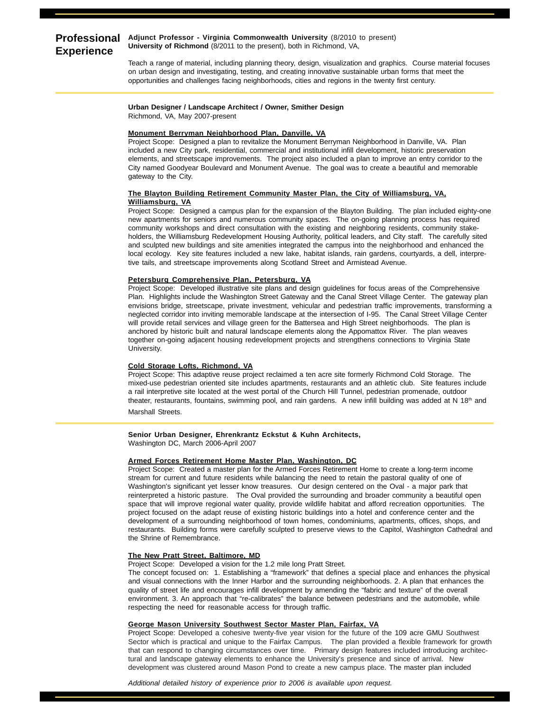#### **Professional Adjunct Professor - Virginia Commonwealth University** (8/2010 to present) **Experience University of Richmond** (8/2011 to the present), both in Richmond, VA,

Teach a range of material, including planning theory, design, visualization and graphics. Course material focuses on urban design and investigating, testing, and creating innovative sustainable urban forms that meet the opportunities and challenges facing neighborhoods, cities and regions in the twenty first century.

#### **Urban Designer / Landscape Architect / Owner, Smither Design** Richmond, VA, May 2007-present

### **Monument Berryman Neighborhood Plan, Danville, VA**

Project Scope: Designed a plan to revitalize the Monument Berryman Neighborhood in Danville, VA. Plan included a new City park, residential, commercial and institutional infill development, historic preservation elements, and streetscape improvements. The project also included a plan to improve an entry corridor to the City named Goodyear Boulevard and Monument Avenue. The goal was to create a beautiful and memorable gateway to the City.

#### **The Blayton Building Retirement Community Master Plan, the City of Williamsburg, VA, Williamsburg, VA**

Project Scope: Designed a campus plan for the expansion of the Blayton Building. The plan included eighty-one new apartments for seniors and numerous community spaces. The on-going planning process has required community workshops and direct consultation with the existing and neighboring residents, community stakeholders, the Williamsburg Redevelopment Housing Authority, political leaders, and City staff. The carefully sited and sculpted new buildings and site amenities integrated the campus into the neighborhood and enhanced the local ecology. Key site features included a new lake, habitat islands, rain gardens, courtyards, a dell, interpretive tails, and streetscape improvements along Scotland Street and Armistead Avenue.

#### **Petersburg Comprehensive Plan, Petersburg, VA**

Project Scope: Developed illustrative site plans and design guidelines for focus areas of the Comprehensive Plan. Highlights include the Washington Street Gateway and the Canal Street Village Center. The gateway plan envisions bridge, streetscape, private investment, vehicular and pedestrian traffic improvements, transforming a neglected corridor into inviting memorable landscape at the intersection of I-95. The Canal Street Village Center will provide retail services and village green for the Battersea and High Street neighborhoods. The plan is anchored by historic built and natural landscape elements along the Appomattox River. The plan weaves together on-going adjacent housing redevelopment projects and strengthens connections to Virginia State University.

#### **Cold Storage Lofts, Richmond, VA**

Project Scope: This adaptive reuse project reclaimed a ten acre site formerly Richmond Cold Storage. The mixed-use pedestrian oriented site includes apartments, restaurants and an athletic club. Site features include a rail interpretive site located at the west portal of the Church Hill Tunnel, pedestrian promenade, outdoor theater, restaurants, fountains, swimming pool, and rain gardens. A new infill building was added at N 18<sup>th</sup> and

Marshall Streets.

#### **Senior Urban Designer, Ehrenkrantz Eckstut & Kuhn Architects,**

Washington DC, March 2006-April 2007

#### **Armed Forces Retirement Home Master Plan, Washington, DC**

Project Scope: Created a master plan for the Armed Forces Retirement Home to create a long-term income stream for current and future residents while balancing the need to retain the pastoral quality of one of Washington's significant yet lesser know treasures. Our design centered on the Oval - a major park that reinterpreted a historic pasture. The Oval provided the surrounding and broader community a beautiful open space that will improve regional water quality, provide wildlife habitat and afford recreation opportunities. The project focused on the adapt reuse of existing historic buildings into a hotel and conference center and the development of a surrounding neighborhood of town homes, condominiums, apartments, offices, shops, and restaurants. Building forms were carefully sculpted to preserve views to the Capitol, Washington Cathedral and the Shrine of Remembrance.

#### **The New Pratt Street, Baltimore, MD**

Project Scope: Developed a vision for the 1.2 mile long Pratt Street.

The concept focused on: 1. Establishing a "framework" that defines a special place and enhances the physical and visual connections with the Inner Harbor and the surrounding neighborhoods. 2. A plan that enhances the quality of street life and encourages infill development by amending the "fabric and texture" of the overall environment. 3. An approach that "re-calibrates" the balance between pedestrians and the automobile, while respecting the need for reasonable access for through traffic.

#### **George Mason University Southwest Sector Master Plan, Fairfax, VA**

Project Scope: Developed a cohesive twenty-five year vision for the future of the 109 acre GMU Southwest Sector which is practical and unique to the Fairfax Campus. The plan provided a flexible framework for growth that can respond to changing circumstances over time. Primary design features included introducing architectural and landscape gateway elements to enhance the University's presence and since of arrival. New development was clustered around Mason Pond to create a new campus place. The master plan included

*Additional detailed history of experience prior to 2006 is available upon request.*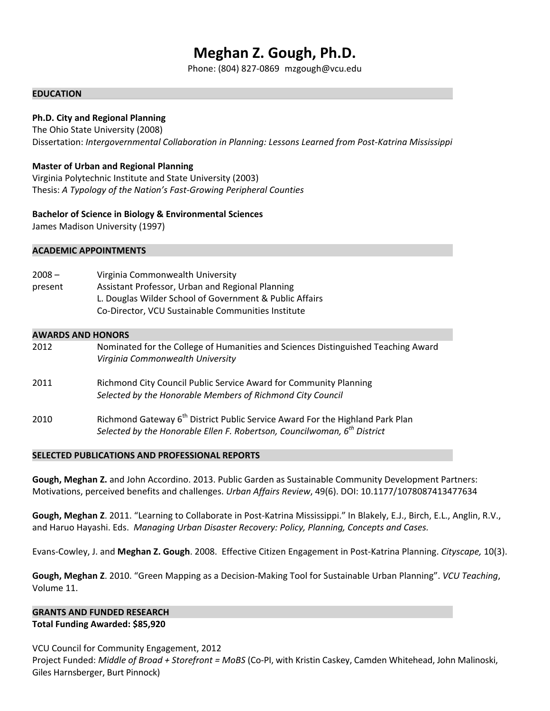# **Meghan Z. Gough, Ph.D.**

Phone: (804) 827‐0869 mzgough@vcu.edu

## **EDUCATION**

# **Ph.D. City and Regional Planning**

The Ohio State University (2008) Dissertation: *Intergovernmental Collaboration in Planning: Lessons Learned from Post‐Katrina Mississippi*

# **Master of Urban and Regional Planning**

Virginia Polytechnic Institute and State University (2003) Thesis: *A Typology of the Nation's Fast‐Growing Peripheral Counties*

# **Bachelor of Science in Biology & Environmental Sciences**

James Madison University (1997)

## **ACADEMIC APPOINTMENTS**

2008 – Virginia Commonwealth University present Assistant Professor, Urban and Regional Planning  L. Douglas Wilder School of Government & Public Affairs Co‐Director, VCU Sustainable Communities Institute

## **AWARDS AND HONORS**

| 2012 | Nominated for the College of Humanities and Sciences Distinguished Teaching Award<br>Virginia Commonwealth University                                                      |
|------|----------------------------------------------------------------------------------------------------------------------------------------------------------------------------|
| 2011 | Richmond City Council Public Service Award for Community Planning<br>Selected by the Honorable Members of Richmond City Council                                            |
| 2010 | Richmond Gateway 6 <sup>th</sup> District Public Service Award For the Highland Park Plan<br>Selected by the Honorable Ellen F. Robertson, Councilwoman, $6^{th}$ District |

### **SELECTED PUBLICATIONS AND PROFESSIONAL REPORTS**

**Gough, Meghan Z.** and John Accordino. 2013. Public Garden as Sustainable Community Development Partners: Motivations, perceived benefits and challenges. *Urban Affairs Review*, 49(6). DOI: 10.1177/1078087413477634

**Gough, Meghan Z**. 2011. "Learning to Collaborate in Post‐Katrina Mississippi." In Blakely, E.J., Birch, E.L., Anglin, R.V., and Haruo Hayashi. Eds. *Managing Urban Disaster Recovery: Policy, Planning, Concepts and Cases.*

Evans‐Cowley, J. and **Meghan Z. Gough**. 2008. Effective Citizen Engagement in Post‐Katrina Planning. *Cityscape,* 10(3).

**Gough, Meghan Z**. 2010. "Green Mapping as a Decision‐Making Tool for Sustainable Urban Planning". *VCU Teaching*, Volume 11.

# **GRANTS AND FUNDED RESEARCH Total Funding Awarded: \$85,920**

VCU Council for Community Engagement, 2012 Project Funded: *Middle of Broad + Storefront = MoBS* (Co‐PI, with Kristin Caskey, Camden Whitehead, John Malinoski, Giles Harnsberger, Burt Pinnock)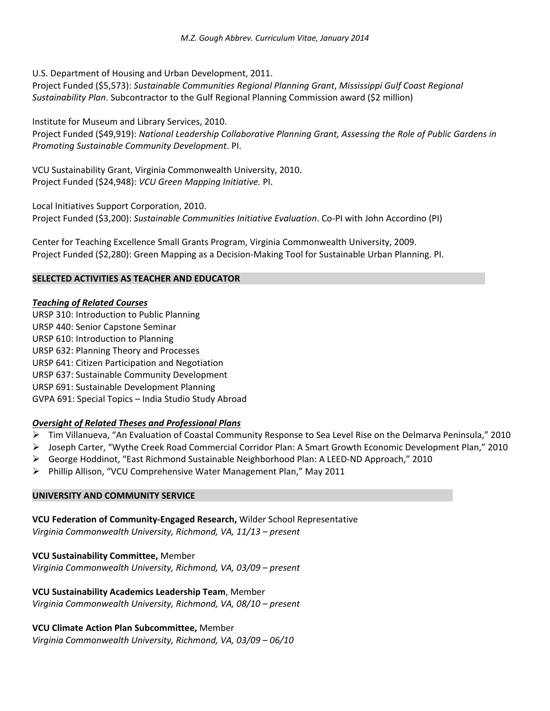U.S. Department of Housing and Urban Development, 2011.

Project Funded (\$5,573): *Sustainable Communities Regional Planning Grant*, *Mississippi Gulf Coast Regional Sustainability Plan*. Subcontractor to the Gulf Regional Planning Commission award (\$2 million)

# Institute for Museum and Library Services, 2010.

Project Funded (\$49,919): *National Leadership Collaborative Planning Grant, Assessing the Role of Public Gardens in Promoting Sustainable Community Development*. PI.

VCU Sustainability Grant, Virginia Commonwealth University, 2010. Project Funded (\$24,948): *VCU Green Mapping Initiative.* PI.

Local Initiatives Support Corporation, 2010. Project Funded (\$3,200): *Sustainable Communities Initiative Evaluation*. Co‐PI with John Accordino (PI)

Center for Teaching Excellence Small Grants Program, Virginia Commonwealth University, 2009. Project Funded (\$2,280): Green Mapping as a Decision‐Making Tool for Sustainable Urban Planning. PI.

# **SELECTED ACTIVITIES AS TEACHER AND EDUCATOR**

# *Teaching of Related Courses*

URSP 310: Introduction to Public Planning URSP 440: Senior Capstone Seminar URSP 610: Introduction to Planning URSP 632: Planning Theory and Processes URSP 641: Citizen Participation and Negotiation URSP 637: Sustainable Community Development URSP 691: Sustainable Development Planning GVPA 691: Special Topics – India Studio Study Abroad

# *Oversight of Related Theses and Professional Plans*

- Tim Villanueva, "An Evaluation of Coastal Community Response to Sea Level Rise on the Delmarva Peninsula," 2010
- Joseph Carter, "Wythe Creek Road Commercial Corridor Plan: A Smart Growth Economic Development Plan," 2010
- George Hoddinot, "East Richmond Sustainable Neighborhood Plan: A LEED‐ND Approach," 2010
- $\triangleright$  Phillip Allison, "VCU Comprehensive Water Management Plan," May 2011

# **UNIVERSITY AND COMMUNITY SERVICE**

# **VCU Federation of Community‐Engaged Research,** Wilder School Representative

*Virginia Commonwealth University, Richmond, VA, 11/13 – present*

# **VCU Sustainability Committee,** Member

*Virginia Commonwealth University, Richmond, VA, 03/09 – present* 

# **VCU Sustainability Academics Leadership Team**, Member

*Virginia Commonwealth University, Richmond, VA, 08/10 – present* 

# **VCU Climate Action Plan Subcommittee,** Member

*Virginia Commonwealth University, Richmond, VA, 03/09 – 06/10*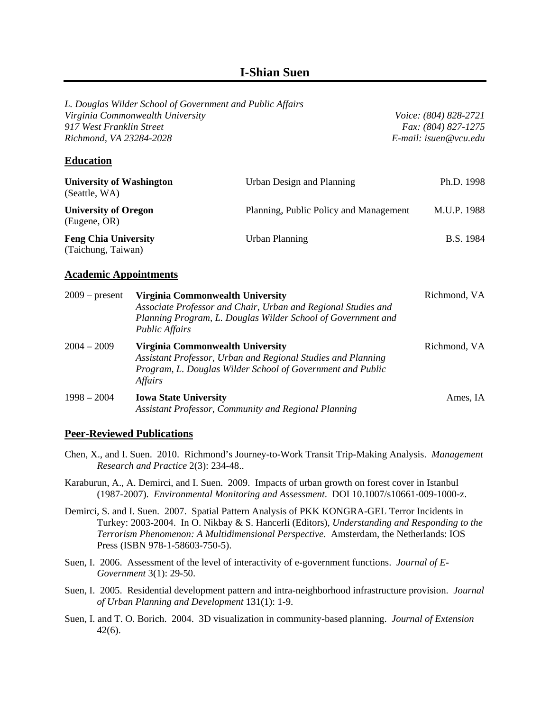# **I-Shian Suen**

| Virginia Commonwealth University<br>917 West Franklin Street<br>Richmond, VA 23284-2028 | L. Douglas Wilder School of Government and Public Affairs                                                                                                                 | Voice: (804) 828-2721<br>Fax: (804) 827-1275<br>E-mail: isuen@vcu.edu                                                         |                  |  |
|-----------------------------------------------------------------------------------------|---------------------------------------------------------------------------------------------------------------------------------------------------------------------------|-------------------------------------------------------------------------------------------------------------------------------|------------------|--|
| <b>Education</b>                                                                        |                                                                                                                                                                           |                                                                                                                               |                  |  |
| <b>University of Washington</b><br>(Seattle, WA)                                        |                                                                                                                                                                           | Urban Design and Planning                                                                                                     | Ph.D. 1998       |  |
| <b>University of Oregon</b><br>(Eugene, OR)                                             |                                                                                                                                                                           | Planning, Public Policy and Management                                                                                        | M.U.P. 1988      |  |
| <b>Feng Chia University</b><br>(Taichung, Taiwan)                                       |                                                                                                                                                                           | <b>Urban Planning</b>                                                                                                         | <b>B.S.</b> 1984 |  |
| <b>Academic Appointments</b>                                                            |                                                                                                                                                                           |                                                                                                                               |                  |  |
| $2009$ – present                                                                        | Virginia Commonwealth University<br><b>Public Affairs</b>                                                                                                                 | Associate Professor and Chair, Urban and Regional Studies and<br>Planning Program, L. Douglas Wilder School of Government and | Richmond, VA     |  |
| $2004 - 2009$                                                                           | Virginia Commonwealth University<br>Assistant Professor, Urban and Regional Studies and Planning<br>Program, L. Douglas Wilder School of Government and Public<br>Affairs | Richmond, VA                                                                                                                  |                  |  |
| $1998 - 2004$                                                                           | <b>Iowa State University</b>                                                                                                                                              | Assistant Professor, Community and Regional Planning                                                                          | Ames, IA         |  |

# **Peer-Reviewed Publications**

- Chen, X., and I. Suen. 2010. Richmond's Journey-to-Work Transit Trip-Making Analysis. *Management Research and Practice* 2(3): 234-48..
- Karaburun, A., A. Demirci, and I. Suen. 2009. Impacts of urban growth on forest cover in Istanbul (1987-2007). *Environmental Monitoring and Assessment*. DOI 10.1007/s10661-009-1000-z.
- Demirci, S. and I. Suen. 2007. Spatial Pattern Analysis of PKK KONGRA-GEL Terror Incidents in Turkey: 2003-2004. In O. Nikbay & S. Hancerli (Editors), *Understanding and Responding to the Terrorism Phenomenon: A Multidimensional Perspective*. Amsterdam, the Netherlands: IOS Press (ISBN 978-1-58603-750-5).
- Suen, I. 2006. Assessment of the level of interactivity of e-government functions. *Journal of E-Government* 3(1): 29-50.
- Suen, I. 2005. Residential development pattern and intra-neighborhood infrastructure provision. *Journal of Urban Planning and Development* 131(1): 1-9.
- Suen, I. and T. O. Borich. 2004. 3D visualization in community-based planning. *Journal of Extension* 42(6).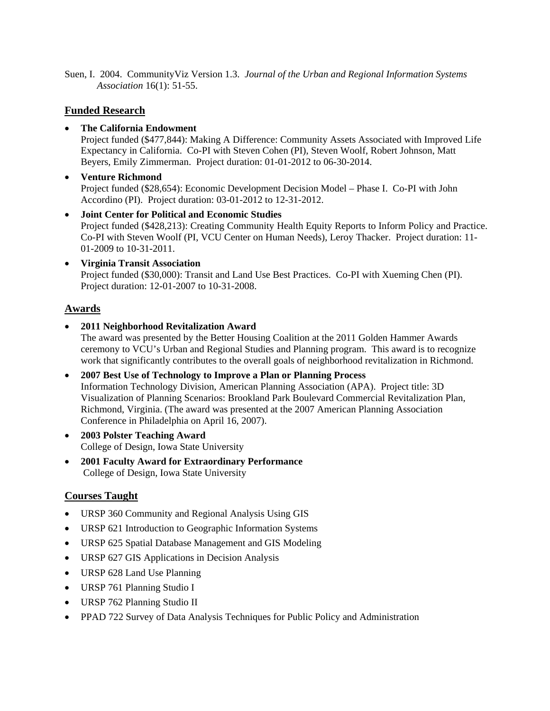Suen, I. 2004. CommunityViz Version 1.3. *Journal of the Urban and Regional Information Systems Association* 16(1): 51-55.

# **Funded Research**

# **The California Endowment**

Project funded (\$477,844): Making A Difference: Community Assets Associated with Improved Life Expectancy in California. Co-PI with Steven Cohen (PI), Steven Woolf, Robert Johnson, Matt Beyers, Emily Zimmerman. Project duration: 01-01-2012 to 06-30-2014.

- **Venture Richmond** Project funded (\$28,654): Economic Development Decision Model – Phase I. Co-PI with John Accordino (PI). Project duration: 03-01-2012 to 12-31-2012.
- **Joint Center for Political and Economic Studies** Project funded (\$428,213): Creating Community Health Equity Reports to Inform Policy and Practice. Co-PI with Steven Woolf (PI, VCU Center on Human Needs), Leroy Thacker. Project duration: 11- 01-2009 to 10-31-2011.
- **Virginia Transit Association** Project funded (\$30,000): Transit and Land Use Best Practices. Co-PI with Xueming Chen (PI). Project duration: 12-01-2007 to 10-31-2008.

# **Awards**

**2011 Neighborhood Revitalization Award**

The award was presented by the Better Housing Coalition at the 2011 Golden Hammer Awards ceremony to VCU's Urban and Regional Studies and Planning program. This award is to recognize work that significantly contributes to the overall goals of neighborhood revitalization in Richmond.

- **2007 Best Use of Technology to Improve a Plan or Planning Process** Information Technology Division, American Planning Association (APA). Project title: 3D Visualization of Planning Scenarios: Brookland Park Boulevard Commercial Revitalization Plan, Richmond, Virginia. (The award was presented at the 2007 American Planning Association Conference in Philadelphia on April 16, 2007).
- **2003 Polster Teaching Award** College of Design, Iowa State University
- **2001 Faculty Award for Extraordinary Performance** College of Design, Iowa State University

# **Courses Taught**

- URSP 360 Community and Regional Analysis Using GIS
- URSP 621 Introduction to Geographic Information Systems
- URSP 625 Spatial Database Management and GIS Modeling
- URSP 627 GIS Applications in Decision Analysis
- URSP 628 Land Use Planning
- URSP 761 Planning Studio I
- URSP 762 Planning Studio II
- PPAD 722 Survey of Data Analysis Techniques for Public Policy and Administration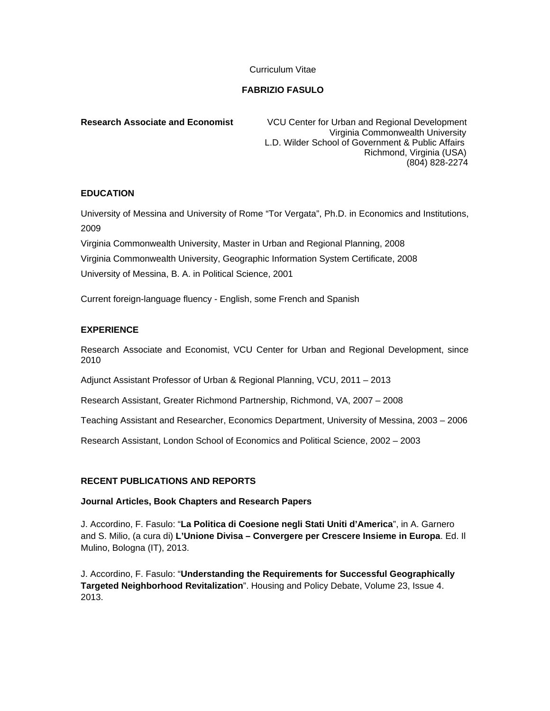## Curriculum Vitae

# **FABRIZIO FASULO**

**Research Associate and Economist** VCU Center for Urban and Regional Development Virginia Commonwealth University L.D. Wilder School of Government & Public Affairs Richmond, Virginia (USA) (804) 828-2274

## **EDUCATION**

University of Messina and University of Rome "Tor Vergata", Ph.D. in Economics and Institutions, 2009

Virginia Commonwealth University, Master in Urban and Regional Planning, 2008 Virginia Commonwealth University, Geographic Information System Certificate, 2008 University of Messina, B. A. in Political Science, 2001

Current foreign-language fluency - English, some French and Spanish

## **EXPERIENCE**

Research Associate and Economist, VCU Center for Urban and Regional Development, since 2010

Adjunct Assistant Professor of Urban & Regional Planning, VCU, 2011 – 2013

Research Assistant, Greater Richmond Partnership, Richmond, VA, 2007 – 2008

Teaching Assistant and Researcher, Economics Department, University of Messina, 2003 – 2006

Research Assistant, London School of Economics and Political Science, 2002 – 2003

# **RECENT PUBLICATIONS AND REPORTS**

### **Journal Articles, Book Chapters and Research Papers**

J. Accordino, F. Fasulo: "**La Politica di Coesione negli Stati Uniti d'America**", in A. Garnero and S. Milio, (a cura di) **L'Unione Divisa – Convergere per Crescere Insieme in Europa**. Ed. Il Mulino, Bologna (IT), 2013.

J. Accordino, F. Fasulo: "**Understanding the Requirements for Successful Geographically Targeted Neighborhood Revitalization**". Housing and Policy Debate, Volume 23, Issue 4. 2013.